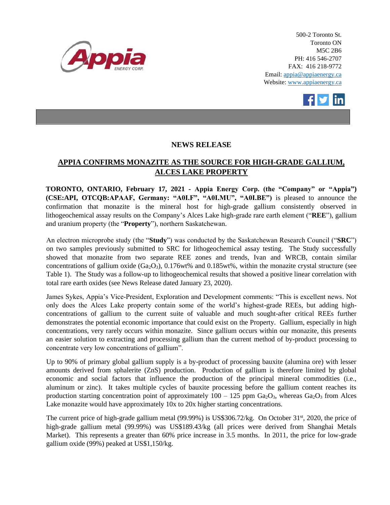

500-2 Toronto St. Toronto ON M5C 2B6 PH: 416 546-2707 FAX: 416 218-9772 Email: appia@appiaenergy.ca Website: www.appiaenergy.ca



## **NEWS RELEASE**

# **APPIA CONFIRMS MONAZITE AS THE SOURCE FOR HIGH-GRADE GALLIUM, ALCES LAKE PROPERTY**

**TORONTO, ONTARIO, February 17, 2021 - Appia Energy Corp. (the "Company" or "Appia") (CSE:API, OTCQB:APAAF, Germany: "A0I.F", "A0I.MU", "A0I.BE")** is pleased to announce the confirmation that monazite is the mineral host for high-grade gallium consistently observed in lithogeochemical assay results on the Company's Alces Lake high-grade rare earth element ("**REE**"), gallium and uranium property (the "**Property**"), northern Saskatchewan.

An electron microprobe study (the "**Study**") was conducted by the Saskatchewan Research Council ("**SRC**") on two samples previously submitted to SRC for lithogeochemical assay testing. The Study successfully showed that monazite from two separate REE zones and trends, Ivan and WRCB, contain similar concentrations of gallium oxide ( $Ga_2O_3$ ), 0.176wt% and 0.185wt%, within the monazite crystal structure (see Table 1). The Study was a follow-up to lithogeochemical results that showed a positive linear correlation with total rare earth oxides (see News Release dated January 23, 2020).

James Sykes, Appia's Vice-President, Exploration and Development comments: "This is excellent news. Not only does the Alces Lake property contain some of the world's highest-grade REEs, but adding highconcentrations of gallium to the current suite of valuable and much sought-after critical REEs further demonstrates the potential economic importance that could exist on the Property. Gallium, especially in high concentrations, very rarely occurs within monazite. Since gallium occurs within our monazite, this presents an easier solution to extracting and processing gallium than the current method of by-product processing to concentrate very low concentrations of gallium".

Up to 90% of primary global gallium supply is a by-product of processing bauxite (alumina ore) with lesser amounts derived from sphalerite (ZnS) production. Production of gallium is therefore limited by global economic and social factors that influence the production of the principal mineral commodities (i.e., aluminum or zinc). It takes multiple cycles of bauxite processing before the gallium content reaches its production starting concentration point of approximately  $100 - 125$  ppm  $Ga_2O_3$ , whereas  $Ga_2O_3$  from Alces Lake monazite would have approximately 10x to 20x higher starting concentrations.

The current price of high-grade gallium metal (99.99%) is US\$306.72/kg. On October  $31<sup>st</sup>$ , 2020, the price of high-grade gallium metal (99.99%) was US\$189.43/kg (all prices were derived from Shanghai Metals Market). This represents a greater than 60% price increase in 3.5 months. In 2011, the price for low-grade gallium oxide (99%) peaked at US\$1,150/kg.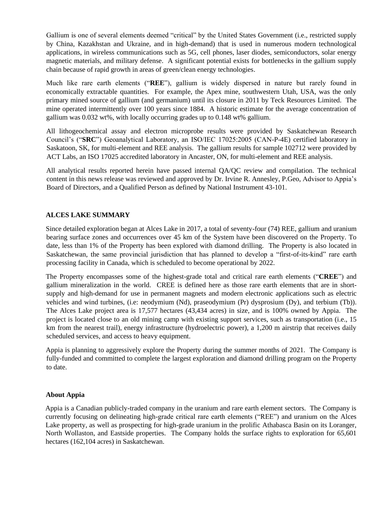Gallium is one of several elements deemed "critical" by the United States Government (i.e., restricted supply by China, Kazakhstan and Ukraine, and in high-demand) that is used in numerous modern technological applications, in wireless communications such as 5G, cell phones, laser diodes, semiconductors, solar energy magnetic materials, and military defense. A significant potential exists for bottlenecks in the gallium supply chain because of rapid growth in areas of green/clean energy technologies.

Much like rare earth elements ("**REE**"), gallium is widely dispersed in nature but rarely found in economically extractable quantities. For example, the Apex mine, southwestern Utah, USA, was the only primary mined source of gallium (and germanium) until its closure in 2011 by Teck Resources Limited. The mine operated intermittently over 100 years since 1884. A historic estimate for the average concentration of gallium was 0.032 wt%, with locally occurring grades up to 0.148 wt% gallium.

All lithogeochemical assay and electron microprobe results were provided by Saskatchewan Research Council's ("**SRC**") Geoanalytical Laboratory, an ISO/IEC 17025:2005 (CAN-P-4E) certified laboratory in Saskatoon, SK, for multi-element and REE analysis. The gallium results for sample 102712 were provided by ACT Labs, an ISO 17025 accredited laboratory in Ancaster, ON, for multi-element and REE analysis.

All analytical results reported herein have passed internal QA/QC review and compilation. The technical content in this news release was reviewed and approved by Dr. Irvine R. Annesley, P.Geo, Advisor to Appia's Board of Directors, and a Qualified Person as defined by National Instrument 43-101.

## **ALCES LAKE SUMMARY**

Since detailed exploration began at Alces Lake in 2017, a total of seventy-four (74) REE, gallium and uranium bearing surface zones and occurrences over 45 km of the System have been discovered on the Property. To date, less than 1% of the Property has been explored with diamond drilling. The Property is also located in Saskatchewan, the same provincial jurisdiction that has planned to develop a "first-of-its-kind" rare earth processing facility in Canada, which is scheduled to become operational by 2022.

The Property encompasses some of the highest-grade total and critical rare earth elements ("**CREE**") and gallium mineralization in the world. CREE is defined here as those rare earth elements that are in shortsupply and high-demand for use in permanent magnets and modern electronic applications such as electric vehicles and wind turbines, (i.e: neodymium (Nd), praseodymium (Pr) dysprosium (Dy), and terbium (Tb)). The Alces Lake project area is 17,577 hectares (43,434 acres) in size, and is 100% owned by Appia. The project is located close to an old mining camp with existing support services, such as transportation (i.e., 15 km from the nearest trail), energy infrastructure (hydroelectric power), a 1,200 m airstrip that receives daily scheduled services, and access to heavy equipment.

Appia is planning to aggressively explore the Property during the summer months of 2021. The Company is fully-funded and committed to complete the largest exploration and diamond drilling program on the Property to date.

### **About Appia**

Appia is a Canadian publicly-traded company in the uranium and rare earth element sectors. The Company is currently focusing on delineating high-grade critical rare earth elements ("REE") and uranium on the Alces Lake property, as well as prospecting for high-grade uranium in the prolific Athabasca Basin on its Loranger, North Wollaston, and Eastside properties. The Company holds the surface rights to exploration for 65,601 hectares (162,104 acres) in Saskatchewan.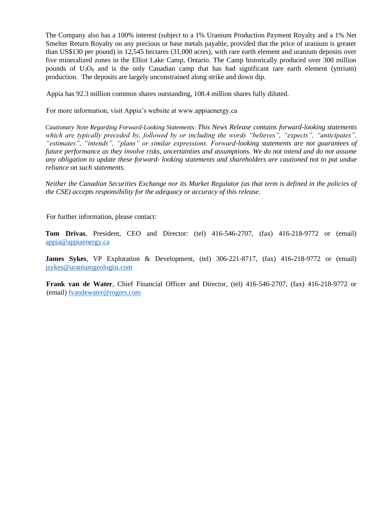The Company also has a 100% interest (subject to a 1% Uranium Production Payment Royalty and a 1% Net Smelter Return Royalty on any precious or base metals payable, provided that the price of uranium is greater than US\$130 per pound) in 12,545 hectares (31,000 acres), with rare earth element and uranium deposits over five mineralized zones in the Elliot Lake Camp, Ontario. The Camp historically produced over 300 million pounds of  $U_3O_8$  and is the only Canadian camp that has had significant rare earth element (yttrium) production. The deposits are largely unconstrained along strike and down dip.

Appia has 92.3 million common shares outstanding, 108.4 million shares fully diluted.

For more information, visit Appia's website at www.appiaenergy.ca

*Cautionary Note Regarding Forward-Looking Statements*: *This News Release contains forward-looking statements which are typically preceded by, followed by or including the words "believes", "expects", "anticipates", "estimates", "intends", "plans" or similar expressions. Forward-looking statements are not guarantees of future performance as they involve risks, uncertainties and assumptions. We do not intend and do not assume any obligation to update these forward- looking statements and shareholders are cautioned not to put undue reliance on such statements.* 

*Neither the Canadian Securities Exchange nor its Market Regulator (as that term is defined in the policies of the CSE) accepts responsibility for the adequacy or accuracy of this release.* 

For further information, please contact:

**Tom Drivas**, President, CEO and Director: (tel) 416-546-2707, (fax) 416-218-9772 or (email) [appia@appiaenergy.ca](mailto:appia@appiaenergy.ca) 

**James Sykes**, VP Exploration & Development, (tel) 306-221-8717, (fax) 416-218-9772 or (email) [jsykes@uraniumgeologist.com](mailto:jsykes@uraniumgeologist.com) 

**Frank van de Water**, Chief Financial Officer and Director, (tel) 416-546-2707, (fax) 416-218-9772 or (email) [fvandewater@rogers.com](mailto:fvandewater@rogers.com)